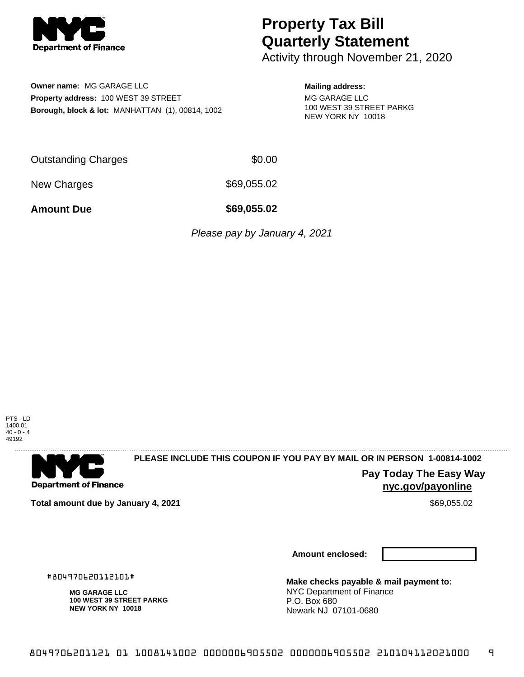

# **Property Tax Bill Quarterly Statement**

Activity through November 21, 2020

**Owner name:** MG GARAGE LLC **Property address:** 100 WEST 39 STREET **Borough, block & lot:** MANHATTAN (1), 00814, 1002

### **Mailing address:**

MG GARAGE LLC 100 WEST 39 STREET PARKG NEW YORK NY 10018

Outstanding Charges \$0.00

New Charges \$69,055.02

**Amount Due \$69,055.02**

Please pay by January 4, 2021

PTS - LD 1400.01  $40 - 0 - 4$ 49192



## **PLEASE INCLUDE THIS COUPON IF YOU PAY BY MAIL OR IN PERSON 1-00814-1002**

**Pay Today The Easy Way nyc.gov/payonline**

**Total amount due by January 4, 2021 \$69,055.02** \$69,055.02

**Amount enclosed:**

**Make checks payable & mail payment to:** NYC Department of Finance P.O. Box 680 Newark NJ 07101-0680

. . . . . . . . . . . . . . . . .

#804970620112101#

**MG GARAGE LLC**

**100 WEST 39 STREET PARKG NEW YORK NY 10018**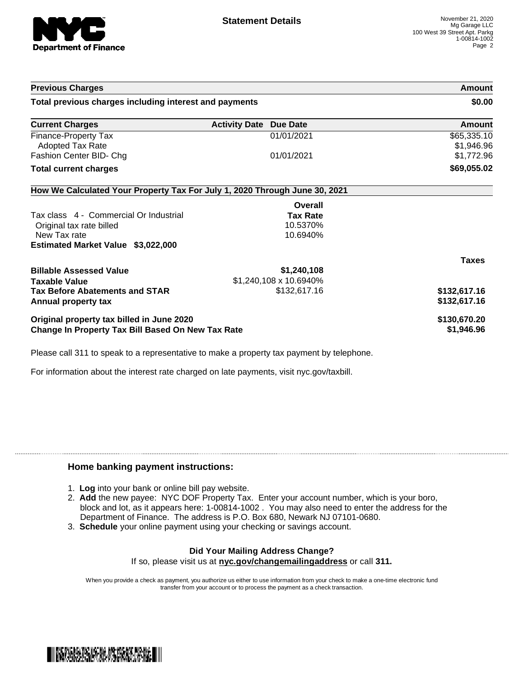

| <b>Activity Date Due Date</b><br>01/01/2021 | \$0.00<br><b>Amount</b><br>\$65,335.10                                                               |
|---------------------------------------------|------------------------------------------------------------------------------------------------------|
|                                             |                                                                                                      |
|                                             |                                                                                                      |
|                                             | \$1,946.96                                                                                           |
| 01/01/2021                                  | \$1,772.96                                                                                           |
|                                             | \$69,055.02                                                                                          |
|                                             |                                                                                                      |
| Overall                                     |                                                                                                      |
| <b>Tax Rate</b>                             |                                                                                                      |
| 10.5370%                                    |                                                                                                      |
| 10.6940%                                    |                                                                                                      |
|                                             |                                                                                                      |
|                                             | <b>Taxes</b>                                                                                         |
| \$1,240,108                                 |                                                                                                      |
|                                             |                                                                                                      |
| \$132,617.16                                | \$132,617.16                                                                                         |
|                                             | \$132,617.16                                                                                         |
|                                             | \$130,670.20<br>\$1,946.96                                                                           |
|                                             | How We Calculated Your Property Tax For July 1, 2020 Through June 30, 2021<br>\$1,240,108 x 10.6940% |

Please call 311 to speak to a representative to make a property tax payment by telephone.

For information about the interest rate charged on late payments, visit nyc.gov/taxbill.

### **Home banking payment instructions:**

- 1. **Log** into your bank or online bill pay website.
- 2. **Add** the new payee: NYC DOF Property Tax. Enter your account number, which is your boro, block and lot, as it appears here: 1-00814-1002 . You may also need to enter the address for the Department of Finance. The address is P.O. Box 680, Newark NJ 07101-0680.
- 3. **Schedule** your online payment using your checking or savings account.

#### **Did Your Mailing Address Change?** If so, please visit us at **nyc.gov/changemailingaddress** or call **311.**

When you provide a check as payment, you authorize us either to use information from your check to make a one-time electronic fund transfer from your account or to process the payment as a check transaction.